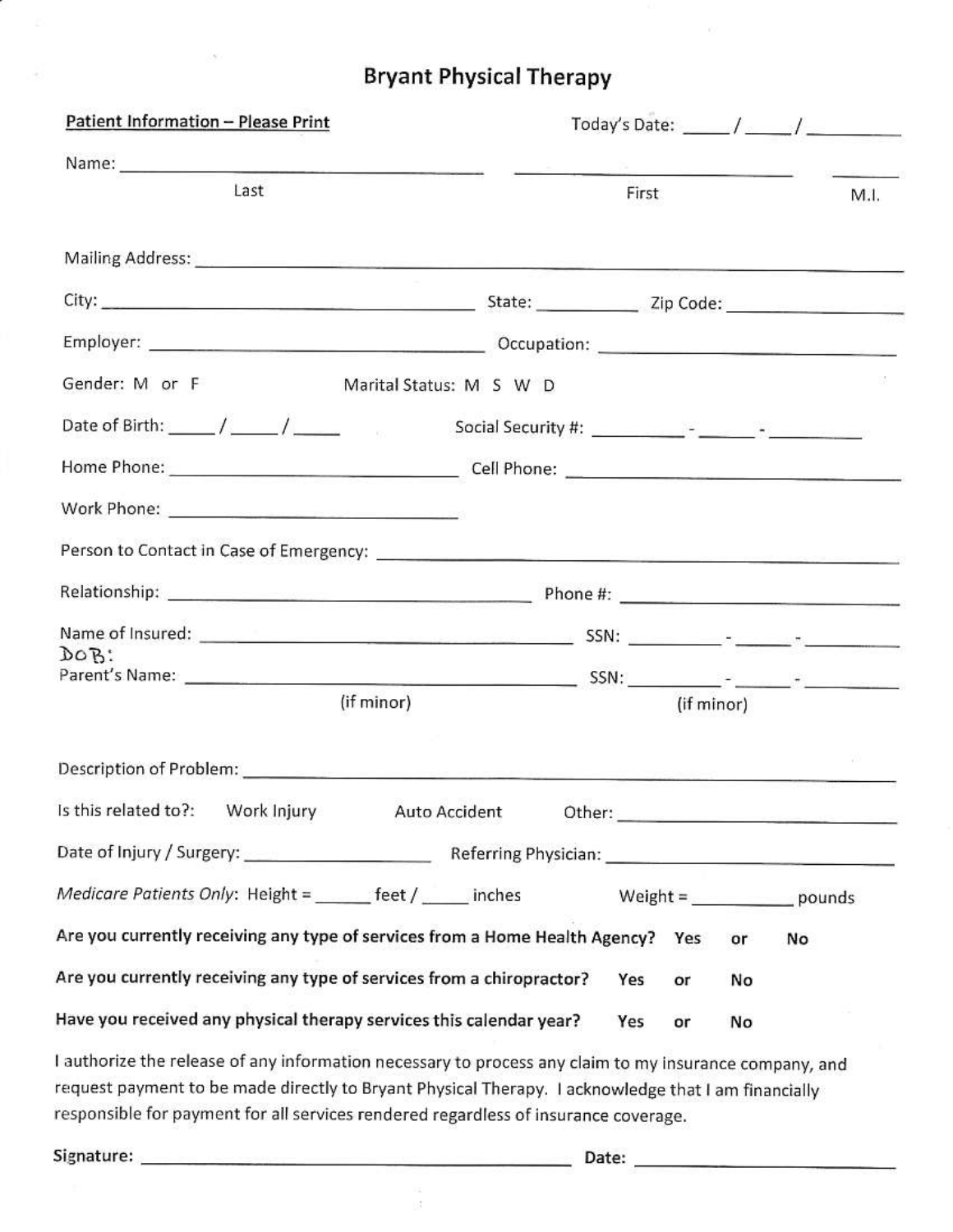## **Bryant Physical Therapy**

| Patient Information - Please Print                                    |                                                                                                                                                                                                                                                                                                                                                                                                             |
|-----------------------------------------------------------------------|-------------------------------------------------------------------------------------------------------------------------------------------------------------------------------------------------------------------------------------------------------------------------------------------------------------------------------------------------------------------------------------------------------------|
|                                                                       | <u>na mar<sup>ika</sup> masana</u> n<br><b>Contract Construction of the Contract Contract Contract Contract Contract Contract Contract Contract Contract Contract Contract Contract Contract Contract Contract Contract Contract Contract Contract Contract Contract Con</b>                                                                                                                                |
| Last                                                                  | First<br>M.I.                                                                                                                                                                                                                                                                                                                                                                                               |
|                                                                       |                                                                                                                                                                                                                                                                                                                                                                                                             |
|                                                                       |                                                                                                                                                                                                                                                                                                                                                                                                             |
|                                                                       |                                                                                                                                                                                                                                                                                                                                                                                                             |
| Gender: M or F                                                        | Marital Status: M S W D                                                                                                                                                                                                                                                                                                                                                                                     |
|                                                                       |                                                                                                                                                                                                                                                                                                                                                                                                             |
|                                                                       |                                                                                                                                                                                                                                                                                                                                                                                                             |
|                                                                       |                                                                                                                                                                                                                                                                                                                                                                                                             |
|                                                                       |                                                                                                                                                                                                                                                                                                                                                                                                             |
|                                                                       |                                                                                                                                                                                                                                                                                                                                                                                                             |
|                                                                       |                                                                                                                                                                                                                                                                                                                                                                                                             |
| $DOB$ :                                                               |                                                                                                                                                                                                                                                                                                                                                                                                             |
| (if minor)                                                            | (if minor)                                                                                                                                                                                                                                                                                                                                                                                                  |
|                                                                       |                                                                                                                                                                                                                                                                                                                                                                                                             |
|                                                                       | Is this related to?: Work Injury Auto Accident Other: __________________________                                                                                                                                                                                                                                                                                                                            |
|                                                                       |                                                                                                                                                                                                                                                                                                                                                                                                             |
| Medicare Patients Only: Height = ______ feet / ____ inches            | Weight = $\frac{1}{\sqrt{1-\frac{1}{2}}\sqrt{1-\frac{1}{2}}\sqrt{1-\frac{1}{2}}\sqrt{1-\frac{1}{2}}\sqrt{1-\frac{1}{2}}\sqrt{1-\frac{1}{2}}\sqrt{1-\frac{1}{2}}\sqrt{1-\frac{1}{2}}\sqrt{1-\frac{1}{2}}\sqrt{1-\frac{1}{2}}\sqrt{1-\frac{1}{2}}\sqrt{1-\frac{1}{2}}\sqrt{1-\frac{1}{2}}\sqrt{1-\frac{1}{2}}\sqrt{1-\frac{1}{2}}\sqrt{1-\frac{1}{2}}\sqrt{1-\frac{1}{2}}\sqrt{1-\frac{1}{2}}\sqrt{1-\frac{1$ |
|                                                                       | Are you currently receiving any type of services from a Home Health Agency? Yes<br>or<br>No                                                                                                                                                                                                                                                                                                                 |
| Are you currently receiving any type of services from a chiropractor? | Yes<br>No<br>or                                                                                                                                                                                                                                                                                                                                                                                             |
| Have you received any physical therapy services this calendar year?   | Yes<br>No<br>or                                                                                                                                                                                                                                                                                                                                                                                             |
|                                                                       | I authorize the release of any information necessary to process any claim to my insurance company, and                                                                                                                                                                                                                                                                                                      |

request payment to be made directly to Bryant Physical Therapy. I acknowledge that I am financially responsible for payment for all services rendered regardless of insurance coverage.

a<br>S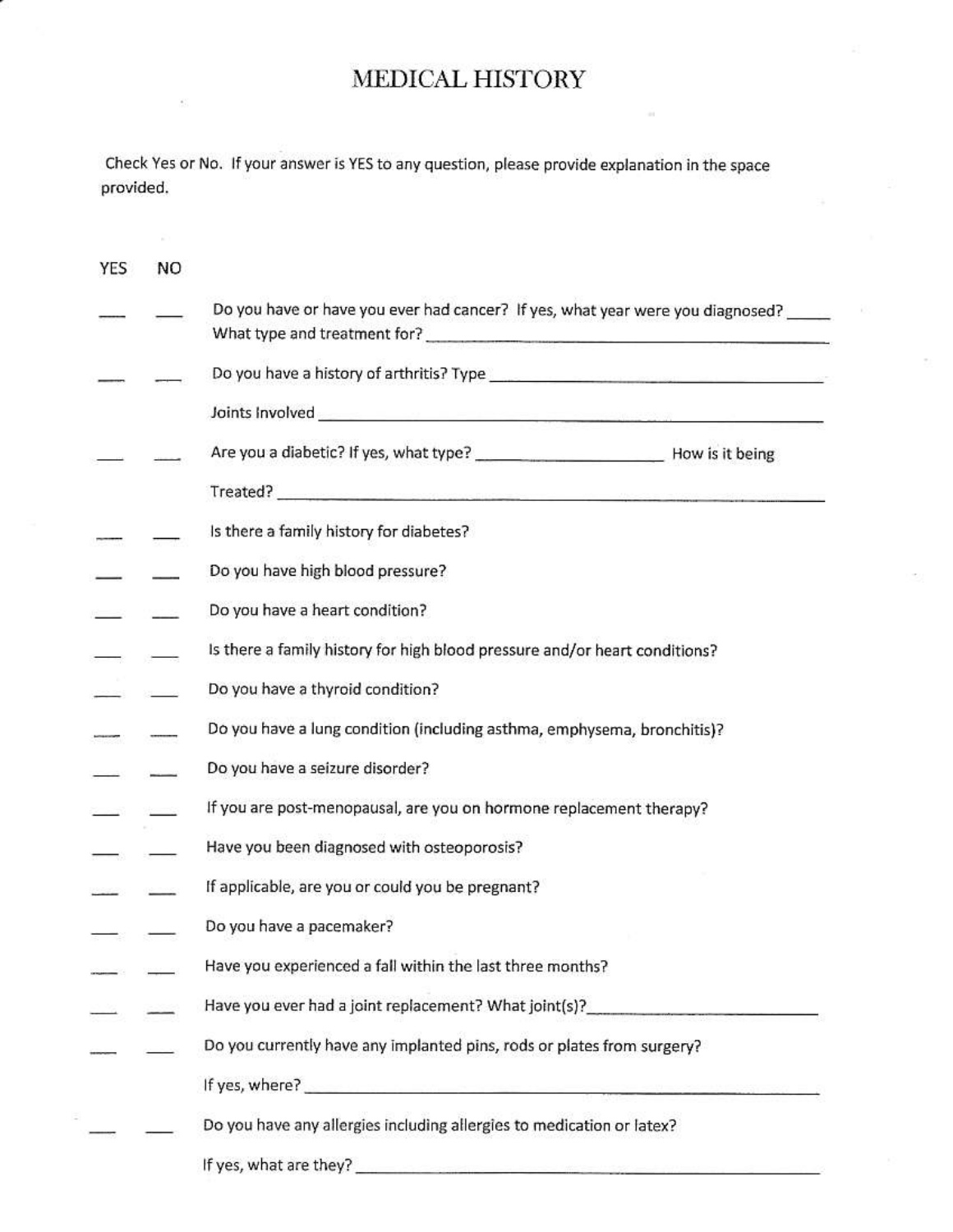## MEDICAL HISTORY

Check Yes or No. If your answer is YES to any question, please provide explanation in the space provided.

| YES | NO |                                                                                  |  |  |
|-----|----|----------------------------------------------------------------------------------|--|--|
|     |    | Do you have or have you ever had cancer? If yes, what year were you diagnosed?   |  |  |
|     |    |                                                                                  |  |  |
|     |    |                                                                                  |  |  |
|     |    |                                                                                  |  |  |
|     |    |                                                                                  |  |  |
|     |    | Is there a family history for diabetes?                                          |  |  |
|     |    | Do you have high blood pressure?                                                 |  |  |
|     |    | Do you have a heart condition?                                                   |  |  |
|     |    | Is there a family history for high blood pressure and/or heart conditions?       |  |  |
|     |    | Do you have a thyroid condition?                                                 |  |  |
|     |    | Do you have a lung condition (including asthma, emphysema, bronchitis)?          |  |  |
|     |    | Do you have a seizure disorder?                                                  |  |  |
|     |    | If you are post-menopausal, are you on hormone replacement therapy?              |  |  |
|     |    | Have you been diagnosed with osteoporosis?                                       |  |  |
|     |    | If applicable, are you or could you be pregnant?                                 |  |  |
|     |    | Do you have a pacemaker?                                                         |  |  |
|     |    | Have you experienced a fall within the last three months?                        |  |  |
|     |    | Have you ever had a joint replacement? What joint(s)?___________________________ |  |  |
|     |    | Do you currently have any implanted pins, rods or plates from surgery?           |  |  |
|     |    |                                                                                  |  |  |
|     |    | Do you have any allergies including allergies to medication or latex?            |  |  |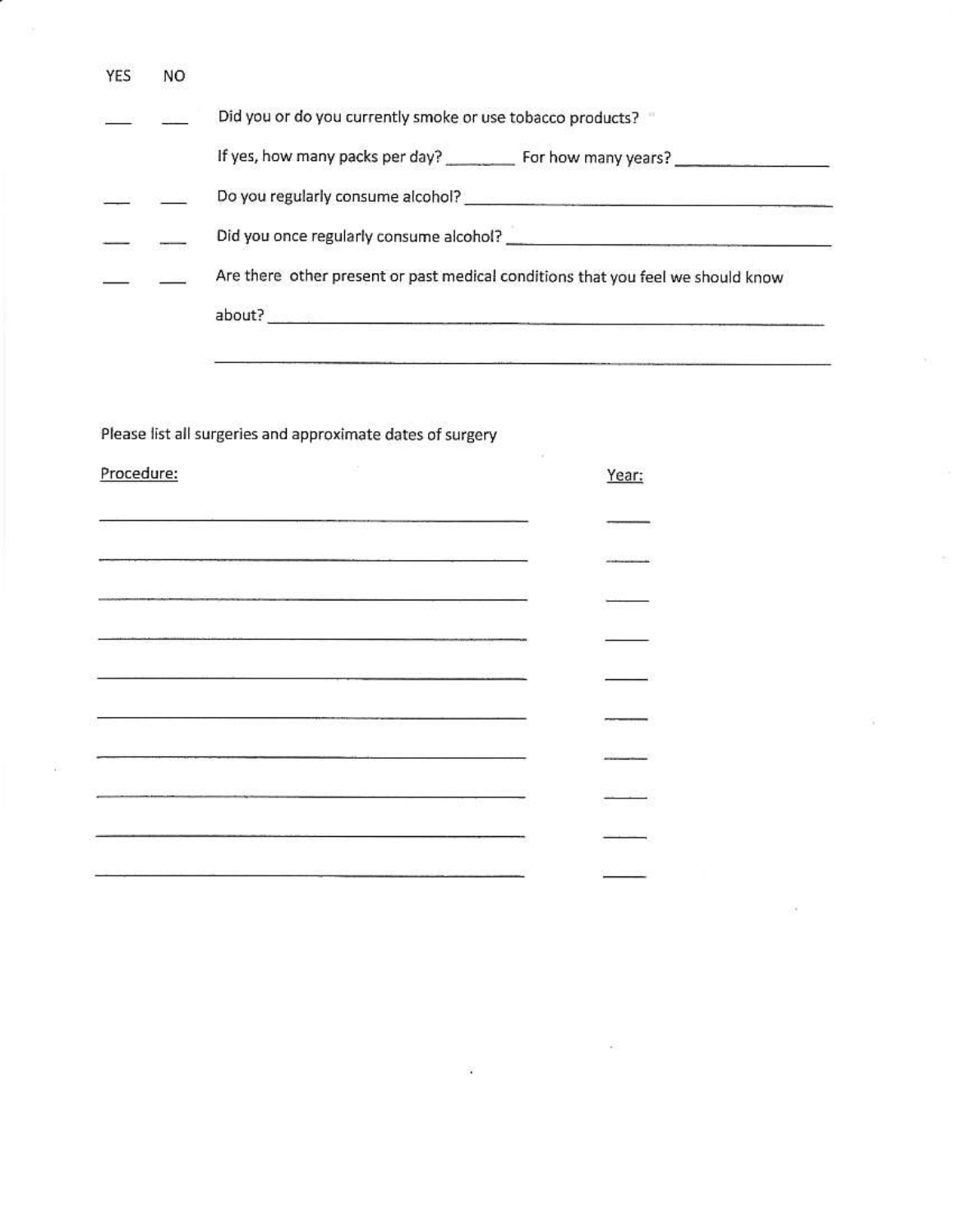| YES        | NO. |                                                                                                                                                                                                                                      |                                                                                                                                                                                                                                |
|------------|-----|--------------------------------------------------------------------------------------------------------------------------------------------------------------------------------------------------------------------------------------|--------------------------------------------------------------------------------------------------------------------------------------------------------------------------------------------------------------------------------|
|            |     | Did you or do you currently smoke or use tobacco products?                                                                                                                                                                           |                                                                                                                                                                                                                                |
|            |     |                                                                                                                                                                                                                                      | If yes, how many packs per day? __________ For how many years? _________________                                                                                                                                               |
|            |     |                                                                                                                                                                                                                                      |                                                                                                                                                                                                                                |
|            |     |                                                                                                                                                                                                                                      |                                                                                                                                                                                                                                |
|            |     |                                                                                                                                                                                                                                      | Are there other present or past medical conditions that you feel we should know                                                                                                                                                |
|            |     |                                                                                                                                                                                                                                      |                                                                                                                                                                                                                                |
|            |     |                                                                                                                                                                                                                                      | The contract of the contract of the contract of the contract of the contract of the contract of the contract of the contract of the contract of the contract of the contract of the contract of the contract of the contract o |
|            |     |                                                                                                                                                                                                                                      |                                                                                                                                                                                                                                |
|            |     | Please list all surgeries and approximate dates of surgery                                                                                                                                                                           |                                                                                                                                                                                                                                |
| Procedure: |     |                                                                                                                                                                                                                                      | Year:                                                                                                                                                                                                                          |
|            |     |                                                                                                                                                                                                                                      |                                                                                                                                                                                                                                |
|            |     | and the company's company's company's company's company's company's company's company's company's company's company's                                                                                                                |                                                                                                                                                                                                                                |
|            |     | <u>ka mana ang mga salawang mga sakalang at sa mga salawang mga sakalang mga sakalang mga sakalang mga sakalang mga sakalang mga sakalang mga sakalang mga sakalang mga sakalang mga sakalang mga sakalang mga sakalang mga saka</u> |                                                                                                                                                                                                                                |
|            |     |                                                                                                                                                                                                                                      |                                                                                                                                                                                                                                |
|            |     | Discovery Countries (Controller Countries of Countries Countries (Countries Countries Countries Countries of Countries (Countries Countries of Countries Countries of Countries (Countries Countries Countries of Countries Co       |                                                                                                                                                                                                                                |
|            |     | the contract of the contract of the contract of the contract of the contract of the contract of the contract of                                                                                                                      |                                                                                                                                                                                                                                |
|            |     |                                                                                                                                                                                                                                      |                                                                                                                                                                                                                                |
|            |     |                                                                                                                                                                                                                                      |                                                                                                                                                                                                                                |
|            |     |                                                                                                                                                                                                                                      |                                                                                                                                                                                                                                |
|            |     |                                                                                                                                                                                                                                      |                                                                                                                                                                                                                                |
|            |     |                                                                                                                                                                                                                                      |                                                                                                                                                                                                                                |
|            |     |                                                                                                                                                                                                                                      |                                                                                                                                                                                                                                |

 $\mathcal{G}$  .

 $\frac{1}{\sqrt{2}}$ 

 $\langle \hat{x} \rangle$ 

۰

 $\mathcal{L}(\mathcal{L})$ 

 $\sim 100$   $\sim$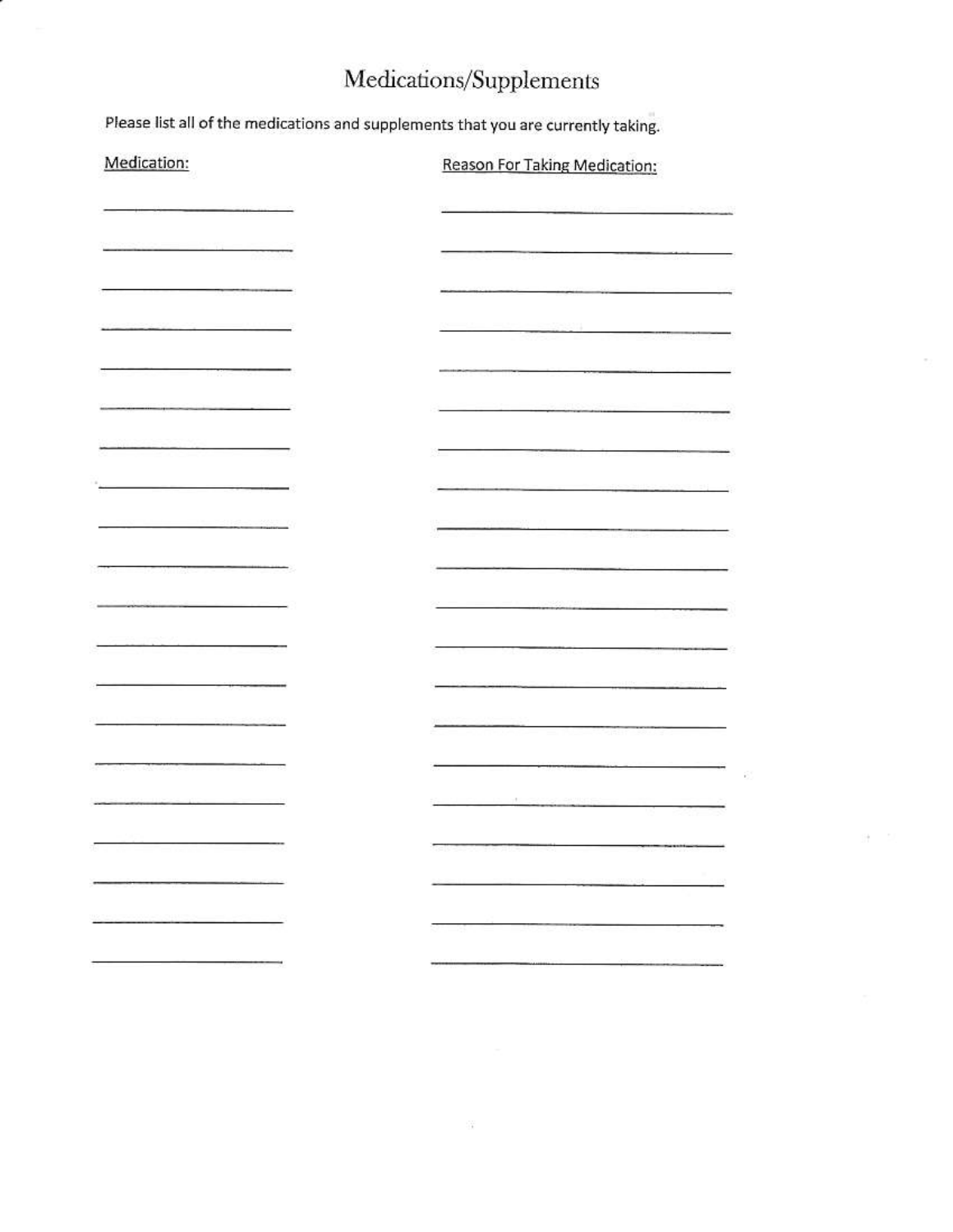# Medications/Supplements

Please list all of the medications and supplements that you are currently taking.

| Medication:                                                                                   | Reason For Taking Medication:                                                                                           |
|-----------------------------------------------------------------------------------------------|-------------------------------------------------------------------------------------------------------------------------|
|                                                                                               |                                                                                                                         |
|                                                                                               | ________                                                                                                                |
|                                                                                               | the contract of the contract of the contract of the contract of the contract of                                         |
| <u> 1980 - Albert Marie Barnett, politik (</u>                                                | 33331                                                                                                                   |
|                                                                                               | The property of the property and property of the                                                                        |
| and the complete product of the complete state of the complete state of the complete state of | <b>The Control of Control of the Control of the Control of the Control of the Control of the Control of the Control</b> |
| $\overline{\phantom{a}}$<br>and the company's property and the                                |                                                                                                                         |
| and the state of the company                                                                  |                                                                                                                         |
|                                                                                               |                                                                                                                         |
|                                                                                               |                                                                                                                         |
|                                                                                               |                                                                                                                         |
| ---------------                                                                               | <u> Les Company (1928-1928)</u>                                                                                         |
|                                                                                               |                                                                                                                         |
|                                                                                               |                                                                                                                         |
|                                                                                               | yt s                                                                                                                    |
|                                                                                               | Tal Mart of Care at                                                                                                     |
|                                                                                               |                                                                                                                         |
|                                                                                               |                                                                                                                         |
|                                                                                               |                                                                                                                         |

IH.